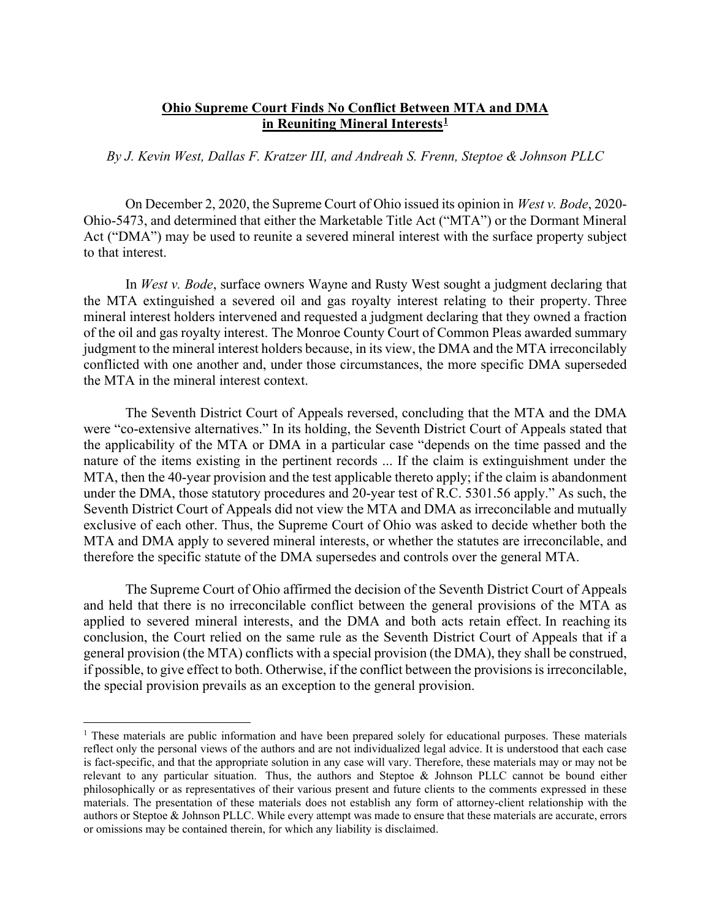## **Ohio Supreme Court Finds No Conflict Between MTA and DMA in Reuniting Mineral Interests[1](#page-0-0)**

## *By J. Kevin West, Dallas F. Kratzer III, and Andreah S. Frenn, Steptoe & Johnson PLLC*

On December 2, 2020, the Supreme Court of Ohio issued its opinion in *West v. Bode*, 2020- Ohio-5473, and determined that either the Marketable Title Act ("MTA") or the Dormant Mineral Act ("DMA") may be used to reunite a severed mineral interest with the surface property subject to that interest.

In *West v. Bode*, surface owners Wayne and Rusty West sought a judgment declaring that the MTA extinguished a severed oil and gas royalty interest relating to their property. Three mineral interest holders intervened and requested a judgment declaring that they owned a fraction of the oil and gas royalty interest. The Monroe County Court of Common Pleas awarded summary judgment to the mineral interest holders because, in its view, the DMA and the MTA irreconcilably conflicted with one another and, under those circumstances, the more specific DMA superseded the MTA in the mineral interest context.

The Seventh District Court of Appeals reversed, concluding that the MTA and the DMA were "co-extensive alternatives." In its holding, the Seventh District Court of Appeals stated that the applicability of the MTA or DMA in a particular case "depends on the time passed and the nature of the items existing in the pertinent records ... If the claim is extinguishment under the MTA, then the 40-year provision and the test applicable thereto apply; if the claim is abandonment under the DMA, those statutory procedures and 20-year test of R.C. 5301.56 apply." As such, the Seventh District Court of Appeals did not view the MTA and DMA as irreconcilable and mutually exclusive of each other. Thus, the Supreme Court of Ohio was asked to decide whether both the MTA and DMA apply to severed mineral interests, or whether the statutes are irreconcilable, and therefore the specific statute of the DMA supersedes and controls over the general MTA.

The Supreme Court of Ohio affirmed the decision of the Seventh District Court of Appeals and held that there is no irreconcilable conflict between the general provisions of the MTA as applied to severed mineral interests, and the DMA and both acts retain effect. In reaching its conclusion, the Court relied on the same rule as the Seventh District Court of Appeals that if a general provision (the MTA) conflicts with a special provision (the DMA), they shall be construed, if possible, to give effect to both. Otherwise, if the conflict between the provisions is irreconcilable, the special provision prevails as an exception to the general provision.

<span id="page-0-0"></span><sup>&</sup>lt;sup>1</sup> These materials are public information and have been prepared solely for educational purposes. These materials reflect only the personal views of the authors and are not individualized legal advice. It is understood that each case is fact-specific, and that the appropriate solution in any case will vary. Therefore, these materials may or may not be relevant to any particular situation. Thus, the authors and Steptoe & Johnson PLLC cannot be bound either philosophically or as representatives of their various present and future clients to the comments expressed in these materials. The presentation of these materials does not establish any form of attorney-client relationship with the authors or Steptoe & Johnson PLLC. While every attempt was made to ensure that these materials are accurate, errors or omissions may be contained therein, for which any liability is disclaimed.